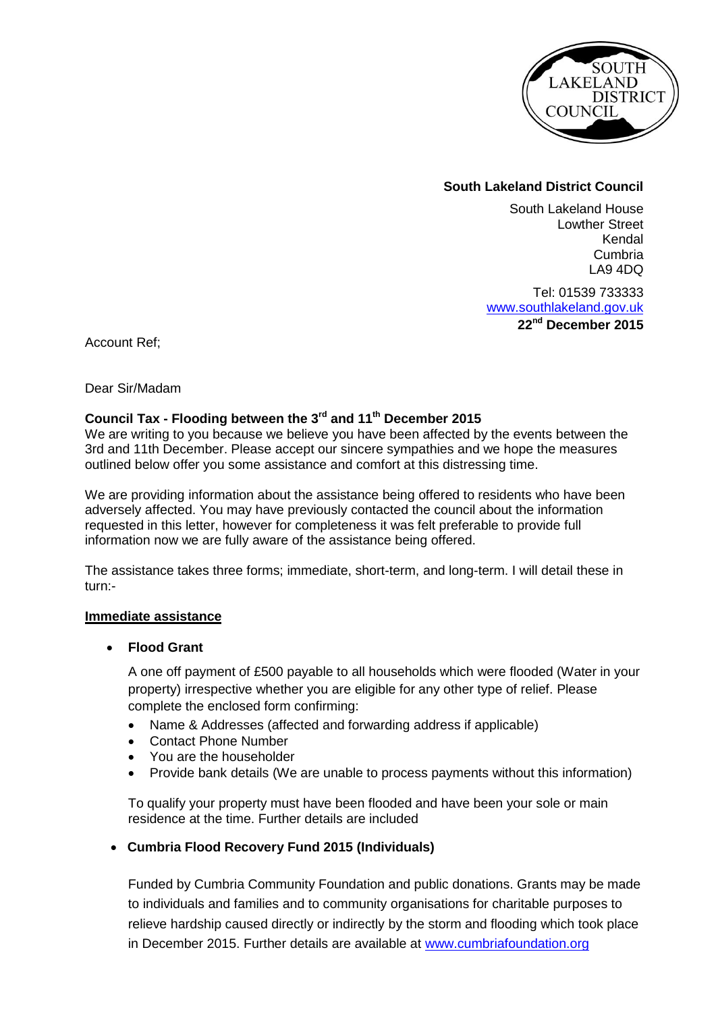

## **South Lakeland District Council**

South Lakeland House Lowther Street Kendal Cumbria LA9 4DQ

Tel: 01539 733333 [www.southlakeland.gov.uk](http://www.southlakeland.gov.uk/) **22 nd December 2015**

Account Ref;

Dear Sir/Madam

# **Council Tax - Flooding between the 3rd and 11th December 2015**

We are writing to you because we believe you have been affected by the events between the 3rd and 11th December. Please accept our sincere sympathies and we hope the measures outlined below offer you some assistance and comfort at this distressing time.

We are providing information about the assistance being offered to residents who have been adversely affected. You may have previously contacted the council about the information requested in this letter, however for completeness it was felt preferable to provide full information now we are fully aware of the assistance being offered.

The assistance takes three forms; immediate, short-term, and long-term. I will detail these in turn:-

#### **Immediate assistance**

#### **Flood Grant**

A one off payment of £500 payable to all households which were flooded (Water in your property) irrespective whether you are eligible for any other type of relief. Please complete the enclosed form confirming:

- Name & Addresses (affected and forwarding address if applicable)
- Contact Phone Number
- You are the householder
- Provide bank details (We are unable to process payments without this information)

To qualify your property must have been flooded and have been your sole or main residence at the time. Further details are included

### **Cumbria Flood Recovery Fund 2015 (Individuals)**

Funded by Cumbria Community Foundation and public donations. Grants may be made to individuals and families and to community organisations for charitable purposes to relieve hardship caused directly or indirectly by the storm and flooding which took place in December 2015. Further details are available at [www.cumbriafoundation.org](http://www.cumbriafoundation.org/)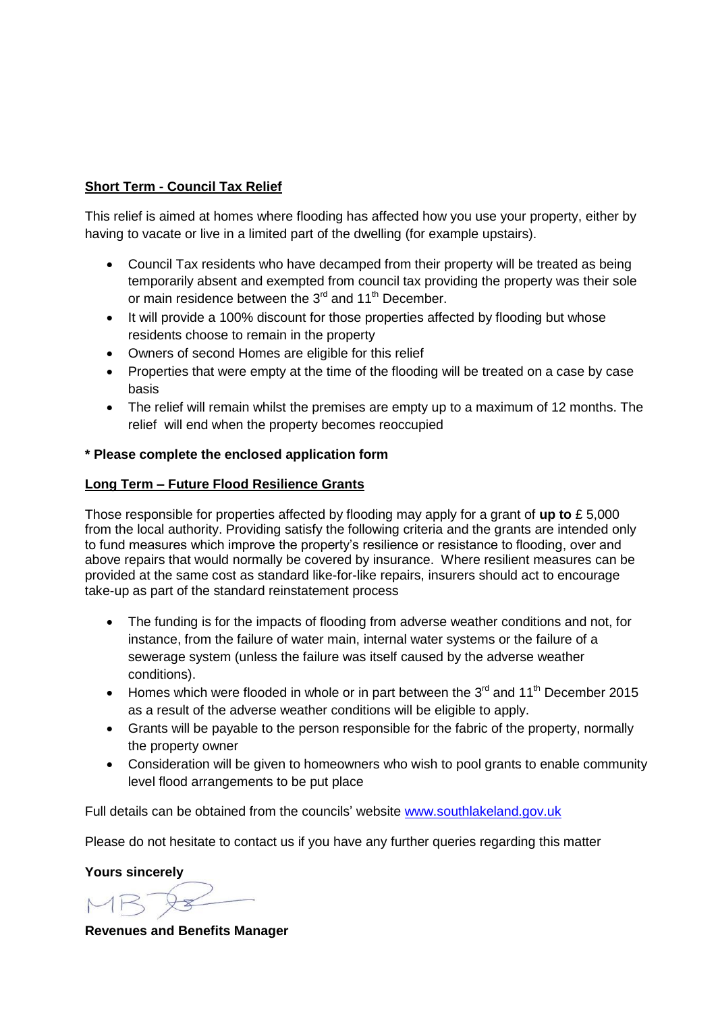### **Short Term - Council Tax Relief**

This relief is aimed at homes where flooding has affected how you use your property, either by having to vacate or live in a limited part of the dwelling (for example upstairs).

- Council Tax residents who have decamped from their property will be treated as being temporarily absent and exempted from council tax providing the property was their sole or main residence between the  $3<sup>rd</sup>$  and 11<sup>th</sup> December.
- It will provide a 100% discount for those properties affected by flooding but whose residents choose to remain in the property
- Owners of second Homes are eligible for this relief
- Properties that were empty at the time of the flooding will be treated on a case by case basis
- The relief will remain whilst the premises are empty up to a maximum of 12 months. The relief will end when the property becomes reoccupied

#### **\* Please complete the enclosed application form**

#### **Long Term – Future Flood Resilience Grants**

Those responsible for properties affected by flooding may apply for a grant of **up to** £ 5,000 from the local authority. Providing satisfy the following criteria and the grants are intended only to fund measures which improve the property's resilience or resistance to flooding, over and above repairs that would normally be covered by insurance. Where resilient measures can be provided at the same cost as standard like-for-like repairs, insurers should act to encourage take-up as part of the standard reinstatement process

- The funding is for the impacts of flooding from adverse weather conditions and not, for instance, from the failure of water main, internal water systems or the failure of a sewerage system (unless the failure was itself caused by the adverse weather conditions).
- Homes which were flooded in whole or in part between the  $3<sup>rd</sup>$  and  $11<sup>th</sup>$  December 2015 as a result of the adverse weather conditions will be eligible to apply.
- Grants will be payable to the person responsible for the fabric of the property, normally the property owner
- Consideration will be given to homeowners who wish to pool grants to enable community level flood arrangements to be put place

Full details can be obtained from the councils' website [www.southlakeland.gov.uk](http://www.southlakeland.gov.uk/)

Please do not hesitate to contact us if you have any further queries regarding this matter

**Yours sincerely**

**Revenues and Benefits Manager**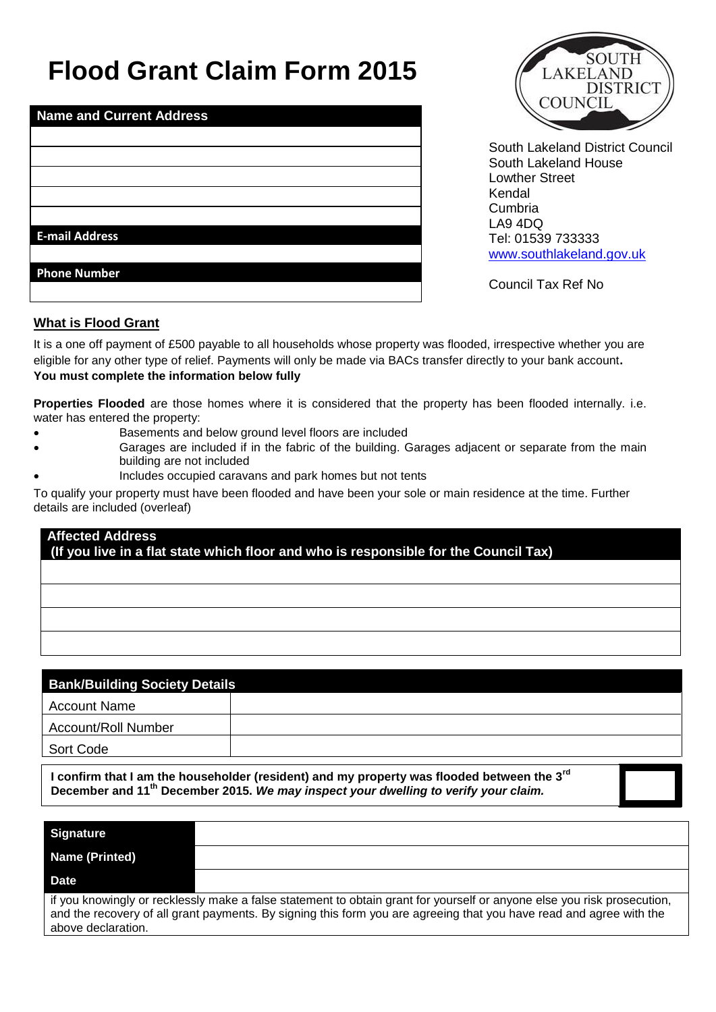# **Flood Grant Claim Form 2015**

| <b>Name and Current Address</b> |  |  |
|---------------------------------|--|--|
|                                 |  |  |
|                                 |  |  |
|                                 |  |  |
|                                 |  |  |
|                                 |  |  |
| <b>E-mail Address</b>           |  |  |
|                                 |  |  |
| <b>Phone Number</b>             |  |  |
|                                 |  |  |



South Lakeland District Council South Lakeland House Lowther Street Kendal Cumbria LA9 4DQ Tel: 01539 733333 [www.southlakeland.gov.uk](http://www.southlakeland.gov.uk/)

Council Tax Ref No

### **What is Flood Grant**

It is a one off payment of £500 payable to all households whose property was flooded, irrespective whether you are eligible for any other type of relief. Payments will only be made via BACs transfer directly to your bank account**. You must complete the information below fully**

**Properties Flooded** are those homes where it is considered that the property has been flooded internally. i.e. water has entered the property:

- Basements and below ground level floors are included
- Garages are included if in the fabric of the building. Garages adjacent or separate from the main building are not included
- Includes occupied caravans and park homes but not tents

To qualify your property must have been flooded and have been your sole or main residence at the time. Further details are included (overleaf)

# **Affected Address (If you live in a flat state which floor and who is responsible for the Council Tax)**

| <b>Bank/Building Society Details</b> |  |  |
|--------------------------------------|--|--|
| <b>Account Name</b>                  |  |  |
| <b>Account/Roll Number</b>           |  |  |
| Sort Code                            |  |  |
|                                      |  |  |

**I confirm that I am the householder (resident) and my property was flooded between the 3rd December and 11th December 2015.** *We may inspect your dwelling to verify your claim.* 

| <b>Signature</b>                                                                                                                                                                                                                                                     |  |  |
|----------------------------------------------------------------------------------------------------------------------------------------------------------------------------------------------------------------------------------------------------------------------|--|--|
| <b>Name (Printed)</b>                                                                                                                                                                                                                                                |  |  |
| Date                                                                                                                                                                                                                                                                 |  |  |
| if you knowingly or recklessly make a false statement to obtain grant for yourself or anyone else you risk prosecution,<br>and the recovery of all grant payments. By signing this form you are agreeing that you have read and agree with the<br>above declaration. |  |  |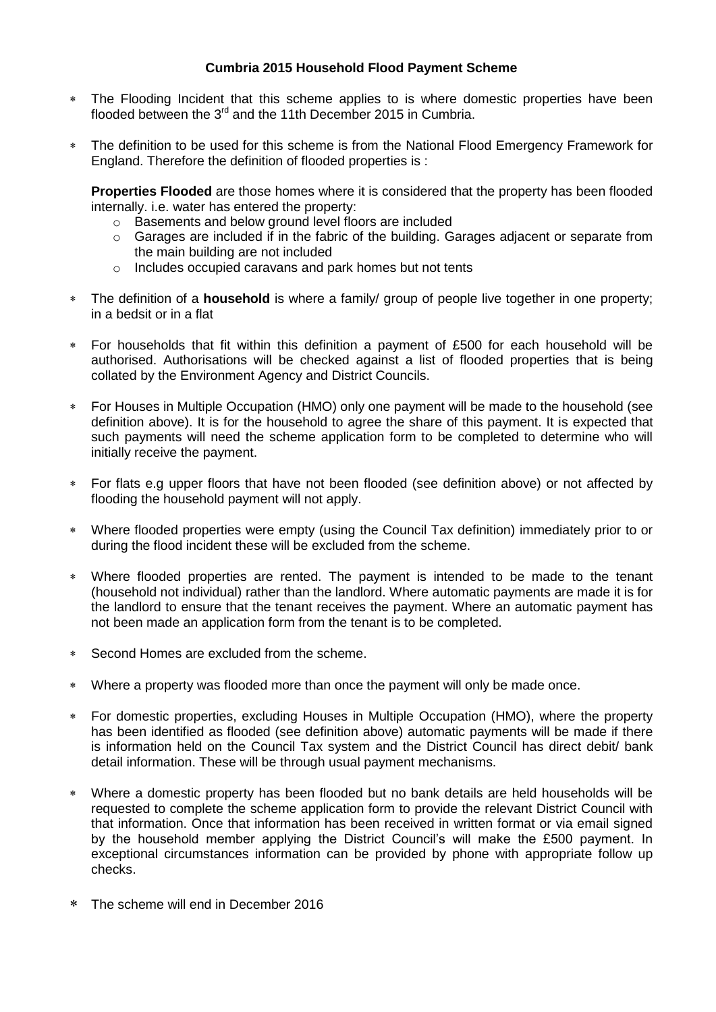#### **Cumbria 2015 Household Flood Payment Scheme**

- The Flooding Incident that this scheme applies to is where domestic properties have been flooded between the  $3<sup>rd</sup>$  and the 11th December 2015 in Cumbria.
- The definition to be used for this scheme is from the National Flood Emergency Framework for England. Therefore the definition of flooded properties is :

**Properties Flooded** are those homes where it is considered that the property has been flooded internally. i.e. water has entered the property:

- o Basements and below ground level floors are included
- $\circ$  Garages are included if in the fabric of the building. Garages adjacent or separate from the main building are not included
- o Includes occupied caravans and park homes but not tents
- The definition of a **household** is where a family/ group of people live together in one property; in a bedsit or in a flat
- For households that fit within this definition a payment of £500 for each household will be authorised. Authorisations will be checked against a list of flooded properties that is being collated by the Environment Agency and District Councils.
- For Houses in Multiple Occupation (HMO) only one payment will be made to the household (see definition above). It is for the household to agree the share of this payment. It is expected that such payments will need the scheme application form to be completed to determine who will initially receive the payment.
- For flats e.g upper floors that have not been flooded (see definition above) or not affected by flooding the household payment will not apply.
- Where flooded properties were empty (using the Council Tax definition) immediately prior to or during the flood incident these will be excluded from the scheme.
- Where flooded properties are rented. The payment is intended to be made to the tenant (household not individual) rather than the landlord. Where automatic payments are made it is for the landlord to ensure that the tenant receives the payment. Where an automatic payment has not been made an application form from the tenant is to be completed.
- Second Homes are excluded from the scheme.
- Where a property was flooded more than once the payment will only be made once.
- For domestic properties, excluding Houses in Multiple Occupation (HMO), where the property has been identified as flooded (see definition above) automatic payments will be made if there is information held on the Council Tax system and the District Council has direct debit/ bank detail information. These will be through usual payment mechanisms.
- Where a domestic property has been flooded but no bank details are held households will be requested to complete the scheme application form to provide the relevant District Council with that information. Once that information has been received in written format or via email signed by the household member applying the District Council's will make the £500 payment. In exceptional circumstances information can be provided by phone with appropriate follow up checks.
- The scheme will end in December 2016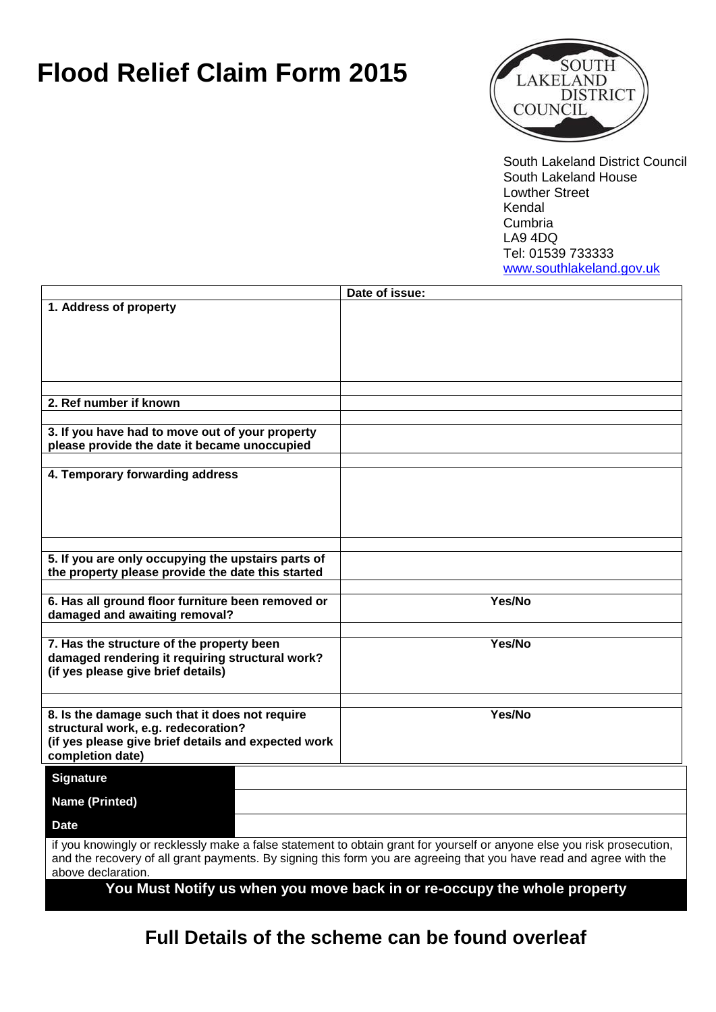# **Flood Relief Claim Form 2015**



South Lakeland District Council South Lakeland House Lowther Street Kendal Cumbria LA9 4DQ Tel: 01539 733333 [www.southlakeland.gov.uk](http://www.southlakeland.gov.uk/)

|                                                                                              | Date of issue:                                                                                                          |
|----------------------------------------------------------------------------------------------|-------------------------------------------------------------------------------------------------------------------------|
| 1. Address of property                                                                       |                                                                                                                         |
|                                                                                              |                                                                                                                         |
|                                                                                              |                                                                                                                         |
|                                                                                              |                                                                                                                         |
|                                                                                              |                                                                                                                         |
|                                                                                              |                                                                                                                         |
| 2. Ref number if known                                                                       |                                                                                                                         |
|                                                                                              |                                                                                                                         |
| 3. If you have had to move out of your property                                              |                                                                                                                         |
| please provide the date it became unoccupied                                                 |                                                                                                                         |
|                                                                                              |                                                                                                                         |
| 4. Temporary forwarding address                                                              |                                                                                                                         |
|                                                                                              |                                                                                                                         |
|                                                                                              |                                                                                                                         |
|                                                                                              |                                                                                                                         |
|                                                                                              |                                                                                                                         |
| 5. If you are only occupying the upstairs parts of                                           |                                                                                                                         |
| the property please provide the date this started                                            |                                                                                                                         |
|                                                                                              |                                                                                                                         |
| 6. Has all ground floor furniture been removed or                                            | Yes/No                                                                                                                  |
| damaged and awaiting removal?                                                                |                                                                                                                         |
|                                                                                              |                                                                                                                         |
| 7. Has the structure of the property been<br>damaged rendering it requiring structural work? | Yes/No                                                                                                                  |
| (if yes please give brief details)                                                           |                                                                                                                         |
|                                                                                              |                                                                                                                         |
|                                                                                              |                                                                                                                         |
| 8. Is the damage such that it does not require                                               | Yes/No                                                                                                                  |
| structural work, e.g. redecoration?                                                          |                                                                                                                         |
| (if yes please give brief details and expected work                                          |                                                                                                                         |
| completion date)                                                                             |                                                                                                                         |
| <b>Signature</b>                                                                             |                                                                                                                         |
| <b>Name (Printed)</b>                                                                        |                                                                                                                         |
| <b>Date</b>                                                                                  |                                                                                                                         |
|                                                                                              | if you knowingly or recklessly make a false statement to obtain grant for yourself or anyone else you risk prosecution, |
|                                                                                              | and the recovery of all grant payments. By signing this form you are agreeing that you have read and agree with the     |
| above declaration.                                                                           |                                                                                                                         |
|                                                                                              | You Must Notify us when you move back in or re-occupy the whole property                                                |
|                                                                                              |                                                                                                                         |

**Full Details of the scheme can be found overleaf**